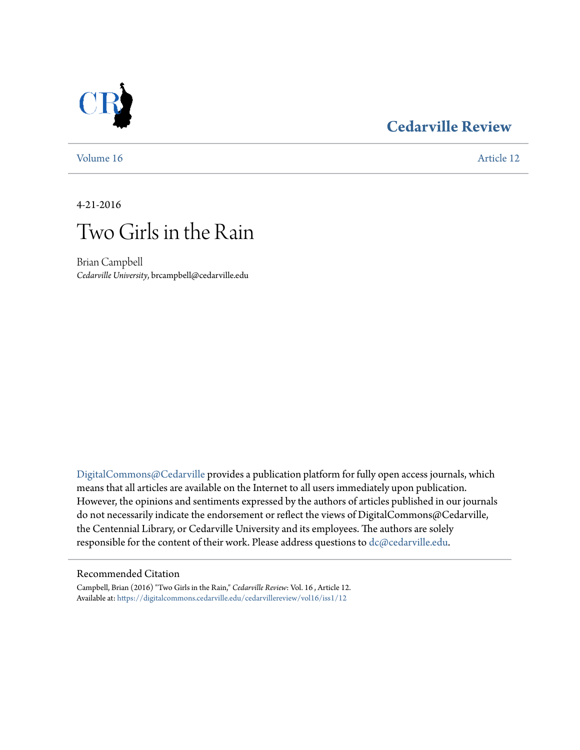## **[Cedarville Review](https://digitalcommons.cedarville.edu/cedarvillereview?utm_source=digitalcommons.cedarville.edu%2Fcedarvillereview%2Fvol16%2Fiss1%2F12&utm_medium=PDF&utm_campaign=PDFCoverPages)**



[Volume 16](https://digitalcommons.cedarville.edu/cedarvillereview/vol16?utm_source=digitalcommons.cedarville.edu%2Fcedarvillereview%2Fvol16%2Fiss1%2F12&utm_medium=PDF&utm_campaign=PDFCoverPages) [Article 12](https://digitalcommons.cedarville.edu/cedarvillereview/vol16/iss1/12?utm_source=digitalcommons.cedarville.edu%2Fcedarvillereview%2Fvol16%2Fiss1%2F12&utm_medium=PDF&utm_campaign=PDFCoverPages)

4-21-2016



Brian Campbell *Cedarville University*, brcampbell@cedarville.edu

[DigitalCommons@Cedarville](http://digitalcommons.cedarville.edu) provides a publication platform for fully open access journals, which means that all articles are available on the Internet to all users immediately upon publication. However, the opinions and sentiments expressed by the authors of articles published in our journals do not necessarily indicate the endorsement or reflect the views of DigitalCommons@Cedarville, the Centennial Library, or Cedarville University and its employees. The authors are solely responsible for the content of their work. Please address questions to [dc@cedarville.edu](mailto:dc@cedarville.edu).

#### Recommended Citation

Campbell, Brian (2016) "Two Girls in the Rain," *Cedarville Review*: Vol. 16 , Article 12. Available at: [https://digitalcommons.cedarville.edu/cedarvillereview/vol16/iss1/12](https://digitalcommons.cedarville.edu/cedarvillereview/vol16/iss1/12?utm_source=digitalcommons.cedarville.edu%2Fcedarvillereview%2Fvol16%2Fiss1%2F12&utm_medium=PDF&utm_campaign=PDFCoverPages)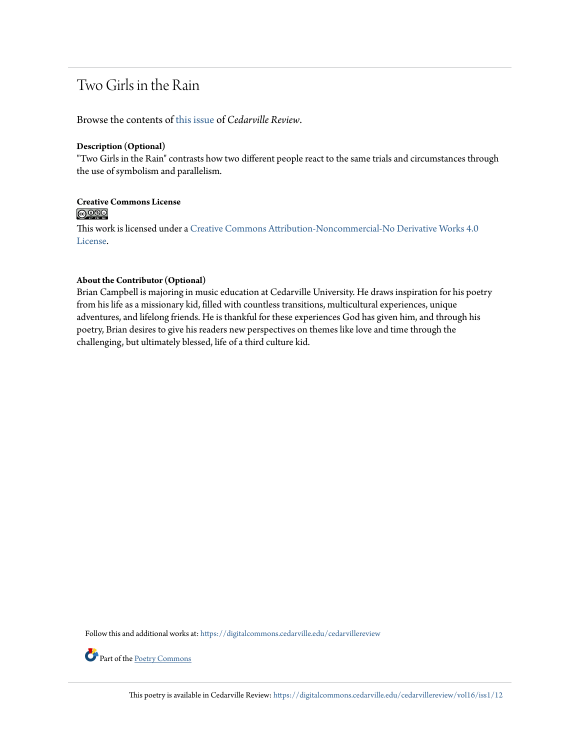### Two Girls in the Rain

Browse the contents of [this issue](https://digitalcommons.cedarville.edu/cedarvillereview/vol16/iss1) of *Cedarville Review*.

#### **Description (Optional)**

"Two Girls in the Rain" contrasts how two different people react to the same trials and circumstances through the use of symbolism and parallelism.

## Creative Commons License<br> **@000**

This work is licensed under a [Creative Commons Attribution-Noncommercial-No Derivative Works 4.0](http://creativecommons.org/licenses/by-nc-nd/4.0/) [License.](http://creativecommons.org/licenses/by-nc-nd/4.0/)

#### **About the Contributor (Optional)**

Brian Campbell is majoring in music education at Cedarville University. He draws inspiration for his poetry from his life as a missionary kid, filled with countless transitions, multicultural experiences, unique adventures, and lifelong friends. He is thankful for these experiences God has given him, and through his poetry, Brian desires to give his readers new perspectives on themes like love and time through the challenging, but ultimately blessed, life of a third culture kid.

Follow this and additional works at: [https://digitalcommons.cedarville.edu/cedarvillereview](https://digitalcommons.cedarville.edu/cedarvillereview?utm_source=digitalcommons.cedarville.edu%2Fcedarvillereview%2Fvol16%2Fiss1%2F12&utm_medium=PDF&utm_campaign=PDFCoverPages)

Part of the [Poetry Commons](http://network.bepress.com/hgg/discipline/1153?utm_source=digitalcommons.cedarville.edu%2Fcedarvillereview%2Fvol16%2Fiss1%2F12&utm_medium=PDF&utm_campaign=PDFCoverPages)

This poetry is available in Cedarville Review: [https://digitalcommons.cedarville.edu/cedarvillereview/vol16/iss1/12](https://digitalcommons.cedarville.edu/cedarvillereview/vol16/iss1/12?utm_source=digitalcommons.cedarville.edu%2Fcedarvillereview%2Fvol16%2Fiss1%2F12&utm_medium=PDF&utm_campaign=PDFCoverPages)